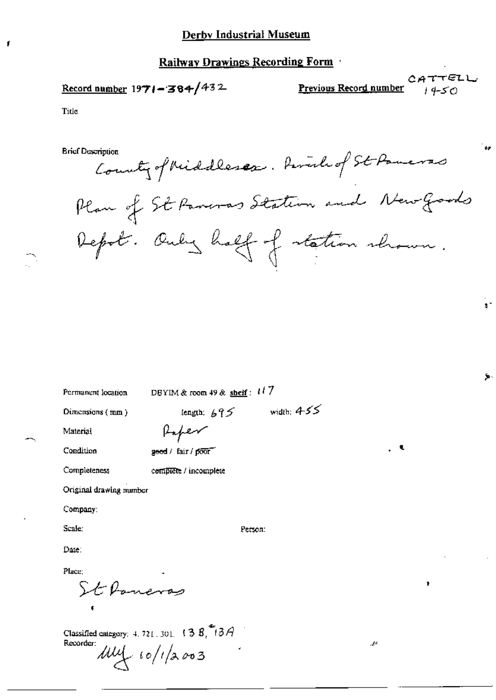### Railway Drawings Recording Form

## Record number  $1971 - 384/432$

CATTELL Previous Record number  $1450$ 

عجر

 $\mathbf{r}$ 

Ş.

Title

f

**Brief Description** 

Recorder:

 $\mu\mu$  10/1/2003

County of Middlessex. Piral of St Paneras Plan of St Paneras Station and New Goods Depot. Only half of station shown.

| Permanent location                              | DBYIM & room 49 & shelf: $117$ |  |  |  |
|-------------------------------------------------|--------------------------------|--|--|--|
| Dimensions (mm)                                 | width: $4-55$<br>length: $695$ |  |  |  |
| Material                                        | Paper                          |  |  |  |
| Condition                                       | ι<br>geed / fair / poor        |  |  |  |
| Completeness                                    | complete / incomplete          |  |  |  |
| Original drawing number                         |                                |  |  |  |
| Company:                                        |                                |  |  |  |
| Scale:                                          | Person:                        |  |  |  |
| Date:                                           |                                |  |  |  |
| Place;                                          |                                |  |  |  |
| St Poneras<br>,                                 |                                |  |  |  |
|                                                 |                                |  |  |  |
| Classified category: 4, 721, 301, $(3.8, 8.78)$ |                                |  |  |  |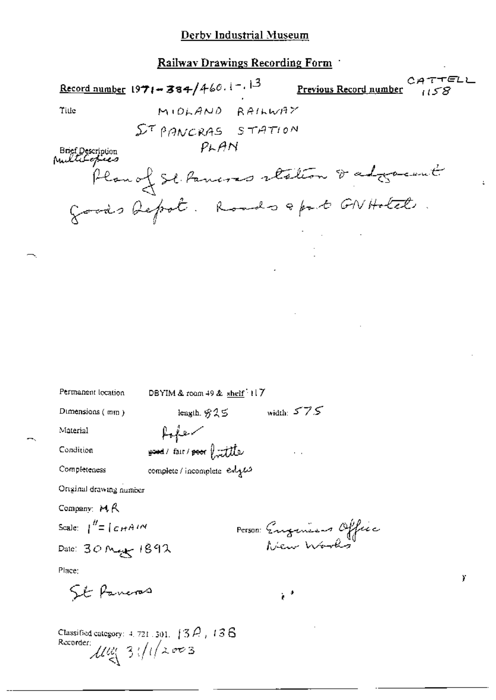Railway Drawings Recording Form

 $CATTELL$ Record number 1971-384/460.1-13 Previous Record number MIDLAND RAILWAY Title ST PANCRAS STATION  $P<sub>k</sub>AN$ Brief Description<br>MultiLepiecs Plan of St. Pancres station of adjournit goods befoot. Roads & part GN Hotel Permanent location DBYIM & room 49 & shelf 117 length,  $825$  width:  $575$ Dimensions (mm) Material foto your fair / poor furtile Condition Completeness complete / incomplete edgas Original drawing number Company:  $MA$ Scale:  $\int_0^{H} = \int_C \mathcal{L} H A^{T} M$ Person Eugenesis Office Date: 30 May 1892 Place: Y St Paneras  $\mathbb{R}^3$ Classified category:  $4, 721, 501, 139$ ,  $136$ Recorder:  $\mathcal{U}\mathcal{U}$  3  $\sqrt{(1/2003)}$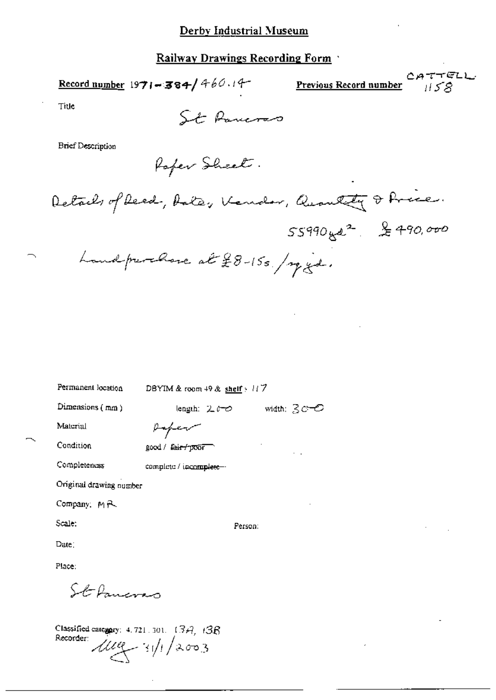## Railway Drawings Recording Form

Record number 1971-384/460.14

CATTELL Previous Record number  $1158$ 

Title

St Paneras

**Brief Description** 

Rafer Sheet.

Details of Reed, Antes Kender, Quantity & Price.

 $55990$  yer<sup>2</sup> & 490,000

Landprevence at £8-15s. / my gd.

| Permanent location      | DBYIM & room $49$ & shelf $\cdot$ // 7 |
|-------------------------|----------------------------------------|
| Dimensions (mm)         | width: $3c$ $\circ$<br>length: えんつ     |
| Material                | paper                                  |
| Condition               | good / fair / poor<br>$\ddotsc$        |
| Completeness            | complete / incomplete --               |
| Original drawing number |                                        |
| Company, MR             |                                        |
| Scale:                  | Person:                                |
| Date:                   |                                        |
| Place:                  |                                        |
| St Innerso              |                                        |

Classified category: 4, 721, 301,  $(3A, 13B)$ Recorder:  $\mu$ <br> $\mu$   $\rightarrow$   $\frac{1}{4}$   $\frac{1}{4}$   $\frac{1}{4}$   $\frac{1}{4}$   $\frac{1}{4}$   $\frac{1}{4}$   $\frac{1}{4}$   $\frac{1}{4}$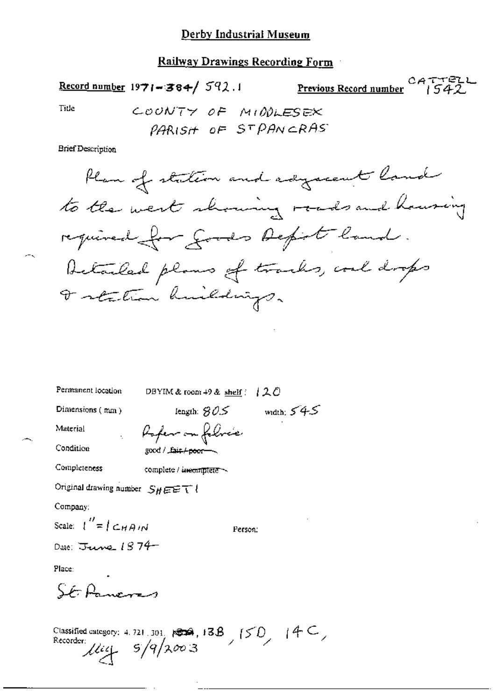# Railway Drawings Recording Form

CATTELL CATTELL CATTELL CATTELL CATTELL

Tide

 $-$ 

COUNTY OF MIDDLESEX PARISH OF STPANCRAS

**Brief Description** 

| Permanent location                                 | DBYIM & room +9 & shelf $(120$                                                            |
|----------------------------------------------------|-------------------------------------------------------------------------------------------|
| Dimensions (mm)                                    | length: $80.5$ width: $54.5$                                                              |
| Material                                           | , Poper on folice                                                                         |
| Condition                                          | good / Lair <del>/ 2001 -</del>                                                           |
| Completeness                                       | complete / incomplete ~                                                                   |
| Original drawing number $S_H \boxplus \boxdot T$ ! |                                                                                           |
| Company:                                           |                                                                                           |
| Scale: $\binom{n}{k} = \binom{n}{k}$               | Person:                                                                                   |
| Date: June $1874-$                                 |                                                                                           |
| Place:                                             |                                                                                           |
| CARmen                                             |                                                                                           |
|                                                    | Classified category: 4.721.301. 1004, 13B, $(50, 14C)$<br>Recorder:<br>$\mu$ iel 5/9/2003 |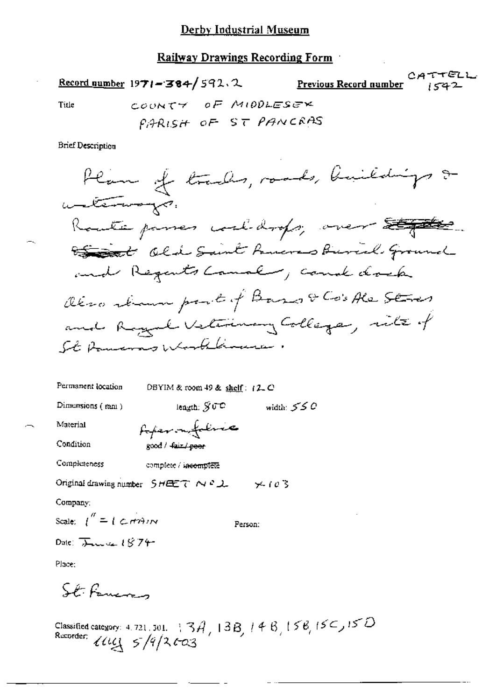**Railway Drawings Recording Form** 

CATTELL Record number  $1971 - 384 / 592$ , 2 Previous Record number COUNTY OF MIDDLESEX Title PARISH OF ST PANCRAS **Brief Description** Plan of tracks, roads, buildings & unterways. Route passes coaldrops, over 200 the seat of the Saint Powers Buriel Ground and Regents Canal , cound dock Oleso strawn part of Base & Co's Ale Stres

and Rogerl Veterinary College, site of St Powers Worklinuce.

Permanent location DBYIM & room 49 & shelf: (2, C)

> length,  $\mathcal{G}$   $\mathbb{C}^{\mathbb{C}}$ width:  $550$

Material

Condition

foter on follower good / fair / poor

Completeness

Dimensions (mm)

complete / incomplete

Original drawing number  $S H \equiv T \land P L$   $\lor P$  (0)3

Company;

Scale:  $\int_0^{\pi} = \int \mathcal{L} \, d\mathcal{H}$ Person: Date:  $\sum_{u \in \mathcal{U}} f(u)$ 

Place:

St. Fancos

Classified category: 4, 721, 301, 13*3*, 13*8*, 14<sup>8</sup>, 15<sup>8</sup>, 15<sup>2</sup>, 15<sup>2</sup>